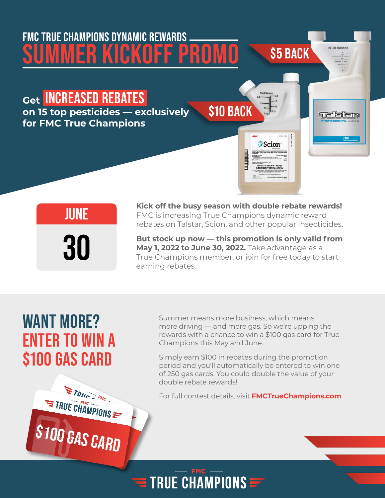## **FMC TRUE CHAMPIONS DYNAMIC REWARDS SUMMER KICKOFF PROMO**

**Get INCREASED REBATES on 15 top pesticides — exclusively for FMC True Champions**



**\$5 BACK**

ELUID OUNCES

telster

#### **JUNE**

**30**

**Kick off the busy season with double rebate rewards!**  FMC is increasing True Champions dynamic reward rebates on Talstar, Scion, and other popular insecticides.

**But stock up now — this promotion is only valid from May 1, 2022 to June 30, 2022.** Take advantage as a True Champions member, or join for free today to start earning rebates.

#### **WANT MORE? ENTER TO WIN A \$100 GAS CARD**

TRIIF - FMC

TRUE CHAMPIONS

S100 GAS CARD

Summer means more business, which means more driving — and more gas. So we're upping the rewards with a chance to win a \$100 gas card for True Champions this May and June.

Simply earn \$100 in rebates during the promotion period and you'll automatically be entered to win one of 250 gas cards. You could double the value of your double rebate rewards!

For full contest details, visit **FMCTrueChampions.com**